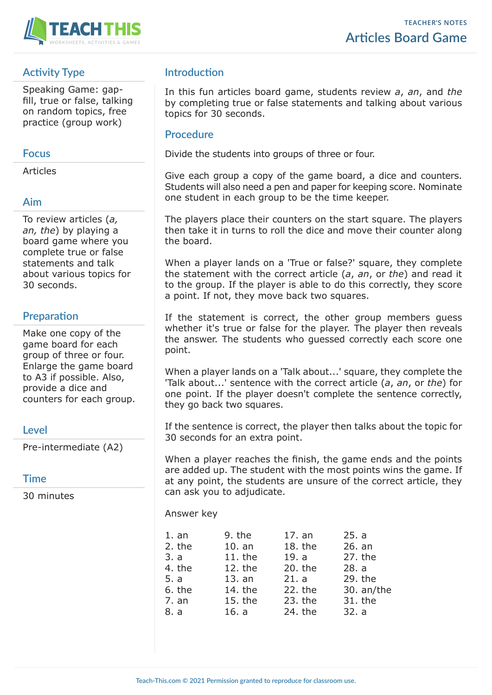

## **Activity Type**

Speaking Game: gapfill, true or false, talking on random topics, free practice (group work)

### **Focus**

Articles

## **Aim**

To review articles (*a, an, the*) by playing a board game where you complete true or false statements and talk about various topics for 30 seconds.

# **Preparation**

Make one copy of the game board for each group of three or four. Enlarge the game board to A3 if possible. Also, provide a dice and counters for each group.

#### **Level**

Pre-intermediate (A2)

**Time**

30 minutes

# **Introduction**

In this fun articles board game, students review *a*, *an*, and *the* by completing true or false statements and talking about various topics for 30 seconds.

#### **Procedure**

Divide the students into groups of three or four.

Give each group a copy of the game board, a dice and counters. Students will also need a pen and paper for keeping score. Nominate one student in each group to be the time keeper.

The players place their counters on the start square. The players then take it in turns to roll the dice and move their counter along the board.

When a player lands on a 'True or false?' square, they complete the statement with the correct article (*a*, *an*, or *the*) and read it to the group. If the player is able to do this correctly, they score a point. If not, they move back two squares.

If the statement is correct, the other group members guess whether it's true or false for the player. The player then reveals the answer. The students who guessed correctly each score one point.

When a player lands on a 'Talk about...' square, they complete the 'Talk about...' sentence with the correct article (*a*, *an*, or *the*) for one point. If the player doesn't complete the sentence correctly, they go back two squares.

If the sentence is correct, the player then talks about the topic for 30 seconds for an extra point.

When a player reaches the finish, the game ends and the points are added up. The student with the most points wins the game. If at any point, the students are unsure of the correct article, they can ask you to adjudicate.

Answer key

| 1. an  | 9. the    | 17. an  | 25. a      |
|--------|-----------|---------|------------|
| 2. the | 10. an    | 18. the | 26. an     |
| 3. a   | $11.$ the | 19. a   | 27. the    |
| 4. the | 12. the   | 20. the | 28. a      |
| 5. a   | 13. an    | 21. a   | 29. the    |
| 6. the | 14. the   | 22. the | 30. an/the |
| 7. an  | 15. the   | 23. the | 31. the    |
| 8. a   | 16. a     | 24. the | 32. a      |